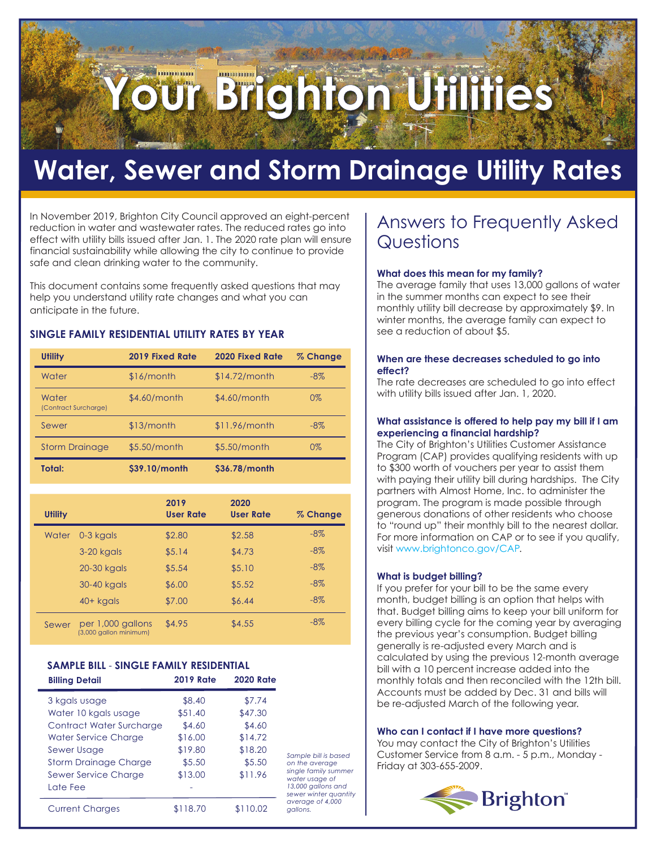# **Brighton Utilities**

# **Water, Sewer and Storm Drainage Utility Rates**

In November 2019, Brighton City Council approved an eight-percent reduction in water and wastewater rates. The reduced rates go into effect with utility bills issued after Jan. 1. The 2020 rate plan will ensure financial sustainability while allowing the city to continue to provide safe and clean drinking water to the community.

This document contains some frequently asked questions that may help you understand utility rate changes and what you can anticipate in the future.

### **SINGLE FAMILY RESIDENTIAL UTILITY RATES BY YEAR**

| <b>Utility</b>                | 2019 Fixed Rate | <b>2020 Fixed Rate</b> | % Change |
|-------------------------------|-----------------|------------------------|----------|
| Water                         | \$16/month      | $$14.72/m$ onth        | $-8\%$   |
| Water<br>(Contract Surcharge) | \$4.60/month    | \$4.60/month           | $0\%$    |
| Sewer                         | \$13/month      | $$11.96/m$ onth        | $-8\%$   |
| <b>Storm Drainage</b>         | $$5.50/m$ onth  | \$5.50/month           | $0\%$    |
| Total:                        | \$39.10/month   | \$36.78/month          |          |

| Utility |                                             | 2019<br><b>User Rate</b> | 2020<br><b>User Rate</b> | % Change |
|---------|---------------------------------------------|--------------------------|--------------------------|----------|
| Water   | 0-3 kgals                                   | \$2.80                   | \$2.58                   | $-8\%$   |
|         | 3-20 kgals                                  | \$5.14                   | \$4.73                   | $-8\%$   |
|         | 20-30 kgals                                 | \$5.54                   | \$5.10                   | $-8\%$   |
|         | 30-40 kgals                                 | \$6.00                   | \$5.52                   | $-8\%$   |
|         | $40+$ kgals                                 | \$7.00                   | \$6.44                   | $-8\%$   |
| Sewer   | per 1,000 gallons<br>(3,000 gallon minimum) | \$4.95                   | \$4.55                   | $-8\%$   |

### **SAMPLE BILL** ‐ **SINGLE FAMILY RESIDENTIAL**

| <b>Billing Detail</b>        | <b>2019 Rate</b> | <b>2020 Rate</b> |                                             |
|------------------------------|------------------|------------------|---------------------------------------------|
| 3 kgals usage                | \$8.40           | \$7.74           |                                             |
| Water 10 kgals usage         | \$51.40          | \$47.30          |                                             |
| Contract Water Surcharge     | \$4.60           | \$4.60           |                                             |
| Water Service Charge         | \$16.00          | \$14.72          |                                             |
| Sewer Usage                  | \$19.80          | \$18.20          | Sample bill is based                        |
| <b>Storm Drainage Charge</b> | \$5.50           | \$5.50           | on the average                              |
| Sewer Service Charge         | \$13.00          | \$11.96          | single family summer<br>water usage of      |
| Late Fee                     |                  |                  | 13,000 gallons and<br>sewer winter quantity |
| <b>Current Charges</b>       | \$118.70         | \$110.02         | average of 4,000<br>gallons.                |

### Answers to Frequently Asked **Questions**

### **What does this mean for my family?**

The average family that uses 13,000 gallons of water in the summer months can expect to see their monthly utility bill decrease by approximately \$9. In winter months, the average family can expect to see a reduction of about \$5.

### **When are these decreases scheduled to go into effect?**

The rate decreases are scheduled to go into effect with utility bills issued after Jan. 1, 2020.

### **What assistance is offered to help pay my bill if I am experiencing a financial hardship?**

The City of Brighton's Utilities Customer Assistance Program (CAP) provides qualifying residents with up to \$300 worth of vouchers per year to assist them with paying their utility bill during hardships. The City partners with Almost Home, Inc. to administer the program. The program is made possible through generous donations of other residents who choose to "round up" their monthly bill to the nearest dollar. For more information on CAP or to see if you qualify, visit www.brightonco.gov/CAP.

### **What is budget billing?**

If you prefer for your bill to be the same every month, budget billing is an option that helps with that. Budget billing aims to keep your bill uniform for every billing cycle for the coming year by averaging the previous year's consumption. Budget billing generally is re-adjusted every March and is calculated by using the previous 12-month average bill with a 10 percent increase added into the monthly totals and then reconciled with the 12th bill. Accounts must be added by Dec. 31 and bills will be re-adjusted March of the following year.

### **Who can I contact if I have more questions?**

You may contact the City of Brighton's Utilities Customer Service from 8 a.m. - 5 p.m., Monday - Friday at 303-655-2009.